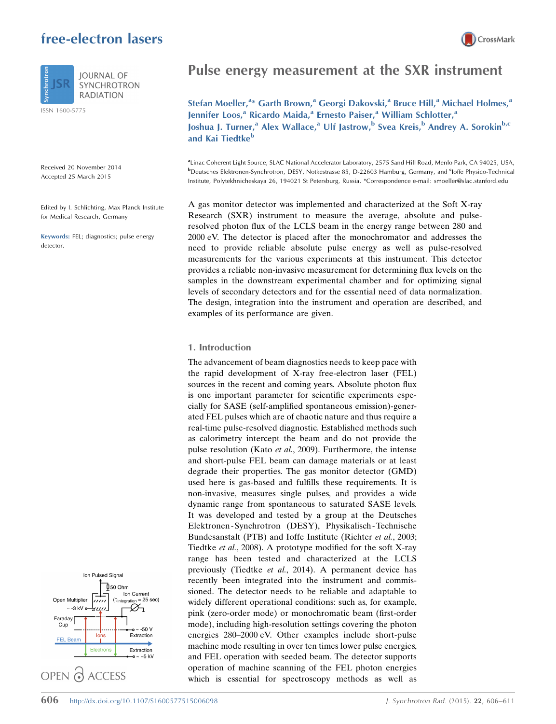# free-electron lasers



ISSN 1600-5775

Received 20 November 2014 Accepted 25 March 2015

Edited by I. Schlichting, Max Planck Institute for Medical Research, Germany

Keywords: FEL; diagnostics; pulse energy detector.



## Pulse energy measurement at the SXR instrument

Stefan Moeller,<sup>a\*</sup> Garth Brown,<sup>a</sup> Georgi Dakovski,<sup>a</sup> Bruce Hill,<sup>a</sup> Michael Holmes,<sup>a</sup> Jennifer Loos,<sup>a</sup> Ricardo Maida,<sup>a</sup> Ernesto Paiser,<sup>a</sup> William Schlotter,<sup>a</sup> Joshua J. Turner,<sup>a</sup> Alex Wallace,<sup>a</sup> Ulf Jastrow,<sup>b</sup> Svea Kreis,<sup>b</sup> Andrey A. Sorokin<sup>b,c</sup> and Kai Tiedtke<sup>b</sup>

a Linac Coherent Light Source, SLAC National Accelerator Laboratory, 2575 Sand Hill Road, Menlo Park, CA 94025, USA, bDeutsches Elektronen-Synchrotron, DESY, Notkestrasse 85, D-22603 Hamburg, Germany, and <sup>c</sup>loffe Physico-Technical Institute, Polytekhnicheskaya 26, 194021 St Petersburg, Russia. \*Correspondence e-mail: smoeller@slac.stanford.edu

A gas monitor detector was implemented and characterized at the Soft X-ray Research (SXR) instrument to measure the average, absolute and pulseresolved photon flux of the LCLS beam in the energy range between 280 and 2000 eV. The detector is placed after the monochromator and addresses the need to provide reliable absolute pulse energy as well as pulse-resolved measurements for the various experiments at this instrument. This detector provides a reliable non-invasive measurement for determining flux levels on the samples in the downstream experimental chamber and for optimizing signal levels of secondary detectors and for the essential need of data normalization. The design, integration into the instrument and operation are described, and examples of its performance are given.

## 1. Introduction

The advancement of beam diagnostics needs to keep pace with the rapid development of X-ray free-electron laser (FEL) sources in the recent and coming years. Absolute photon flux is one important parameter for scientific experiments especially for SASE (self-amplified spontaneous emission)-generated FEL pulses which are of chaotic nature and thus require a real-time pulse-resolved diagnostic. Established methods such as calorimetry intercept the beam and do not provide the pulse resolution (Kato et al., 2009). Furthermore, the intense and short-pulse FEL beam can damage materials or at least degrade their properties. The gas monitor detector (GMD) used here is gas-based and fulfills these requirements. It is non-invasive, measures single pulses, and provides a wide dynamic range from spontaneous to saturated SASE levels. It was developed and tested by a group at the Deutsches Elektronen -Synchrotron (DESY), Physikalisch -Technische Bundesanstalt (PTB) and Ioffe Institute (Richter et al., 2003; Tiedtke et al., 2008). A prototype modified for the soft X-ray range has been tested and characterized at the LCLS previously (Tiedtke et al., 2014). A permanent device has recently been integrated into the instrument and commissioned. The detector needs to be reliable and adaptable to widely different operational conditions: such as, for example, pink (zero-order mode) or monochromatic beam (first-order mode), including high-resolution settings covering the photon energies 280–2000 eV. Other examples include short-pulse machine mode resulting in over ten times lower pulse energies, and FEL operation with seeded beam. The detector supports operation of machine scanning of the FEL photon energies which is essential for spectroscopy methods as well as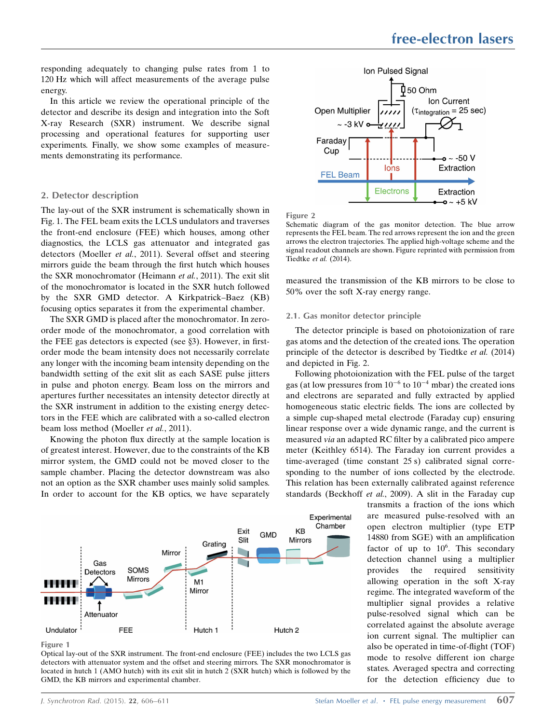responding adequately to changing pulse rates from 1 to 120 Hz which will affect measurements of the average pulse energy.

In this article we review the operational principle of the detector and describe its design and integration into the Soft X-ray Research (SXR) instrument. We describe signal processing and operational features for supporting user experiments. Finally, we show some examples of measurements demonstrating its performance.

### 2. Detector description

The lay-out of the SXR instrument is schematically shown in Fig. 1. The FEL beam exits the LCLS undulators and traverses the front-end enclosure (FEE) which houses, among other diagnostics, the LCLS gas attenuator and integrated gas detectors (Moeller et al., 2011). Several offset and steering mirrors guide the beam through the first hutch which houses the SXR monochromator (Heimann et al., 2011). The exit slit of the monochromator is located in the SXR hutch followed by the SXR GMD detector. A Kirkpatrick–Baez (KB) focusing optics separates it from the experimental chamber.

The SXR GMD is placed after the monochromator. In zeroorder mode of the monochromator, a good correlation with the FEE gas detectors is expected (see  $\S$ 3). However, in firstorder mode the beam intensity does not necessarily correlate any longer with the incoming beam intensity depending on the bandwidth setting of the exit slit as each SASE pulse jitters in pulse and photon energy. Beam loss on the mirrors and apertures further necessitates an intensity detector directly at the SXR instrument in addition to the existing energy detectors in the FEE which are calibrated with a so-called electron beam loss method (Moeller et al., 2011).

Knowing the photon flux directly at the sample location is of greatest interest. However, due to the constraints of the KB mirror system, the GMD could not be moved closer to the sample chamber. Placing the detector downstream was also not an option as the SXR chamber uses mainly solid samples. In order to account for the KB optics, we have separately



#### Figure 1

Optical lay-out of the SXR instrument. The front-end enclosure (FEE) includes the two LCLS gas detectors with attenuator system and the offset and steering mirrors. The SXR monochromator is located in hutch 1 (AMO hutch) with its exit slit in hutch 2 (SXR hutch) which is followed by the GMD, the KB mirrors and experimental chamber.



Figure 2

Schematic diagram of the gas monitor detection. The blue arrow represents the FEL beam. The red arrows represent the ion and the green arrows the electron trajectories. The applied high-voltage scheme and the signal readout channels are shown. Figure reprinted with permission from Tiedtke et al. (2014).

measured the transmission of the KB mirrors to be close to 50% over the soft X-ray energy range.

#### 2.1. Gas monitor detector principle

The detector principle is based on photoionization of rare gas atoms and the detection of the created ions. The operation principle of the detector is described by Tiedtke et al. (2014) and depicted in Fig. 2.

Following photoionization with the FEL pulse of the target gas (at low pressures from  $10^{-6}$  to  $10^{-4}$  mbar) the created ions and electrons are separated and fully extracted by applied homogeneous static electric fields. The ions are collected by a simple cup-shaped metal electrode (Faraday cup) ensuring linear response over a wide dynamic range, and the current is measured via an adapted RC filter by a calibrated pico ampere meter (Keithley 6514). The Faraday ion current provides a time-averaged (time constant 25 s) calibrated signal corresponding to the number of ions collected by the electrode. This relation has been externally calibrated against reference standards (Beckhoff et al., 2009). A slit in the Faraday cup

> transmits a fraction of the ions which are measured pulse-resolved with an open electron multiplier (type ETP 14880 from SGE) with an amplification factor of up to  $10^6$ . This secondary detection channel using a multiplier provides the required sensitivity allowing operation in the soft X-ray regime. The integrated waveform of the multiplier signal provides a relative pulse-resolved signal which can be correlated against the absolute average ion current signal. The multiplier can also be operated in time-of-flight (TOF) mode to resolve different ion charge states. Averaged spectra and correcting for the detection efficiency due to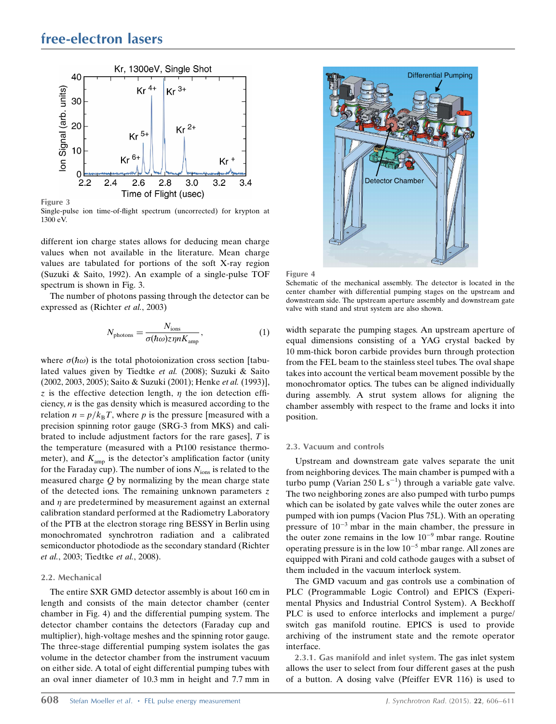

Figure 3

Single-pulse ion time-of-flight spectrum (uncorrected) for krypton at 1300 eV.

different ion charge states allows for deducing mean charge values when not available in the literature. Mean charge values are tabulated for portions of the soft X-ray region (Suzuki & Saito, 1992). An example of a single-pulse TOF spectrum is shown in Fig. 3.

The number of photons passing through the detector can be expressed as (Richter et al., 2003)

$$
N_{\text{photons}} = \frac{N_{\text{ions}}}{\sigma(\hbar\omega)z\eta nK_{\text{amp}}},\tag{1}
$$

where  $\sigma(h\omega)$  is the total photoionization cross section [tabulated values given by Tiedtke et al. (2008); Suzuki & Saito (2002, 2003, 2005); Saito & Suzuki (2001); Henke et al. (1993)], z is the effective detection length,  $\eta$  the ion detection efficiency,  $n$  is the gas density which is measured according to the relation  $n = p/k_BT$ , where p is the pressure [measured with a precision spinning rotor gauge (SRG-3 from MKS) and calibrated to include adjustment factors for the rare gases], T is the temperature (measured with a Pt100 resistance thermometer), and  $K_{\text{amp}}$  is the detector's amplification factor (unity for the Faraday cup). The number of ions  $N_{\text{ions}}$  is related to the measured charge  $Q$  by normalizing by the mean charge state of the detected ions. The remaining unknown parameters  $z$ and  $\eta$  are predetermined by measurement against an external calibration standard performed at the Radiometry Laboratory of the PTB at the electron storage ring BESSY in Berlin using monochromated synchrotron radiation and a calibrated semiconductor photodiode as the secondary standard (Richter et al., 2003; Tiedtke et al., 2008).

#### 2.2. Mechanical

The entire SXR GMD detector assembly is about 160 cm in length and consists of the main detector chamber (center chamber in Fig. 4) and the differential pumping system. The detector chamber contains the detectors (Faraday cup and multiplier), high-voltage meshes and the spinning rotor gauge. The three-stage differential pumping system isolates the gas volume in the detector chamber from the instrument vacuum on either side. A total of eight differential pumping tubes with an oval inner diameter of 10.3 mm in height and 7.7 mm in





Schematic of the mechanical assembly. The detector is located in the center chamber with differential pumping stages on the upstream and downstream side. The upstream aperture assembly and downstream gate valve with stand and strut system are also shown.

width separate the pumping stages. An upstream aperture of equal dimensions consisting of a YAG crystal backed by 10 mm-thick boron carbide provides burn through protection from the FEL beam to the stainless steel tubes. The oval shape takes into account the vertical beam movement possible by the monochromator optics. The tubes can be aligned individually during assembly. A strut system allows for aligning the chamber assembly with respect to the frame and locks it into position.

#### 2.3. Vacuum and controls

Upstream and downstream gate valves separate the unit from neighboring devices. The main chamber is pumped with a turbo pump (Varian 250 L s<sup>-1</sup>) through a variable gate valve. The two neighboring zones are also pumped with turbo pumps which can be isolated by gate valves while the outer zones are pumped with ion pumps (Vacion Plus 75L). With an operating pressure of  $10^{-3}$  mbar in the main chamber, the pressure in the outer zone remains in the low  $10^{-9}$  mbar range. Routine operating pressure is in the low  $10^{-5}$  mbar range. All zones are equipped with Pirani and cold cathode gauges with a subset of them included in the vacuum interlock system.

The GMD vacuum and gas controls use a combination of PLC (Programmable Logic Control) and EPICS (Experimental Physics and Industrial Control System). A Beckhoff PLC is used to enforce interlocks and implement a purge/ switch gas manifold routine. EPICS is used to provide archiving of the instrument state and the remote operator interface.

2.3.1. Gas manifold and inlet system. The gas inlet system allows the user to select from four different gases at the push of a button. A dosing valve (Pfeiffer EVR 116) is used to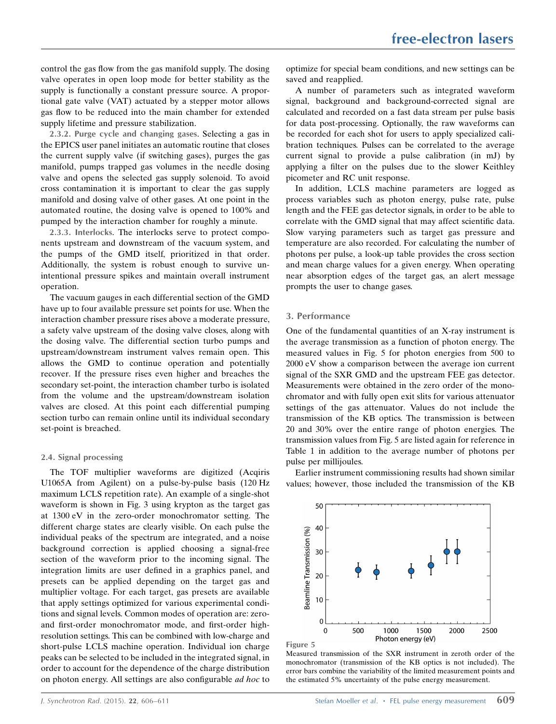control the gas flow from the gas manifold supply. The dosing valve operates in open loop mode for better stability as the supply is functionally a constant pressure source. A proportional gate valve (VAT) actuated by a stepper motor allows gas flow to be reduced into the main chamber for extended supply lifetime and pressure stabilization.

2.3.2. Purge cycle and changing gases. Selecting a gas in the EPICS user panel initiates an automatic routine that closes the current supply valve (if switching gases), purges the gas manifold, pumps trapped gas volumes in the needle dosing valve and opens the selected gas supply solenoid. To avoid cross contamination it is important to clear the gas supply manifold and dosing valve of other gases. At one point in the automated routine, the dosing valve is opened to 100% and pumped by the interaction chamber for roughly a minute.

2.3.3. Interlocks. The interlocks serve to protect components upstream and downstream of the vacuum system, and the pumps of the GMD itself, prioritized in that order. Additionally, the system is robust enough to survive unintentional pressure spikes and maintain overall instrument operation.

The vacuum gauges in each differential section of the GMD have up to four available pressure set points for use. When the interaction chamber pressure rises above a moderate pressure, a safety valve upstream of the dosing valve closes, along with the dosing valve. The differential section turbo pumps and upstream/downstream instrument valves remain open. This allows the GMD to continue operation and potentially recover. If the pressure rises even higher and breaches the secondary set-point, the interaction chamber turbo is isolated from the volume and the upstream/downstream isolation valves are closed. At this point each differential pumping section turbo can remain online until its individual secondary set-point is breached.

## 2.4. Signal processing

The TOF multiplier waveforms are digitized (Acqiris U1065A from Agilent) on a pulse-by-pulse basis (120 Hz maximum LCLS repetition rate). An example of a single-shot waveform is shown in Fig. 3 using krypton as the target gas at 1300 eV in the zero-order monochromator setting. The different charge states are clearly visible. On each pulse the individual peaks of the spectrum are integrated, and a noise background correction is applied choosing a signal-free section of the waveform prior to the incoming signal. The integration limits are user defined in a graphics panel, and presets can be applied depending on the target gas and multiplier voltage. For each target, gas presets are available that apply settings optimized for various experimental conditions and signal levels. Common modes of operation are: zeroand first-order monochromator mode, and first-order highresolution settings. This can be combined with low-charge and short-pulse LCLS machine operation. Individual ion charge peaks can be selected to be included in the integrated signal, in order to account for the dependence of the charge distribution on photon energy. All settings are also configurable ad hoc to optimize for special beam conditions, and new settings can be saved and reapplied.

A number of parameters such as integrated waveform signal, background and background-corrected signal are calculated and recorded on a fast data stream per pulse basis for data post-processing. Optionally, the raw waveforms can be recorded for each shot for users to apply specialized calibration techniques. Pulses can be correlated to the average current signal to provide a pulse calibration (in mJ) by applying a filter on the pulses due to the slower Keithley picometer and RC unit response.

In addition, LCLS machine parameters are logged as process variables such as photon energy, pulse rate, pulse length and the FEE gas detector signals, in order to be able to correlate with the GMD signal that may affect scientific data. Slow varying parameters such as target gas pressure and temperature are also recorded. For calculating the number of photons per pulse, a look-up table provides the cross section and mean charge values for a given energy. When operating near absorption edges of the target gas, an alert message prompts the user to change gases.

## 3. Performance

One of the fundamental quantities of an X-ray instrument is the average transmission as a function of photon energy. The measured values in Fig. 5 for photon energies from 500 to 2000 eV show a comparison between the average ion current signal of the SXR GMD and the upstream FEE gas detector. Measurements were obtained in the zero order of the monochromator and with fully open exit slits for various attenuator settings of the gas attenuator. Values do not include the transmission of the KB optics. The transmission is between 20 and 30% over the entire range of photon energies. The transmission values from Fig. 5 are listed again for reference in Table 1 in addition to the average number of photons per pulse per millijoules.

Earlier instrument commissioning results had shown similar values; however, those included the transmission of the KB



Figure 5

Measured transmission of the SXR instrument in zeroth order of the monochromator (transmission of the KB optics is not included). The error bars combine the variability of the limited measurement points and the estimated 5% uncertainty of the pulse energy measurement.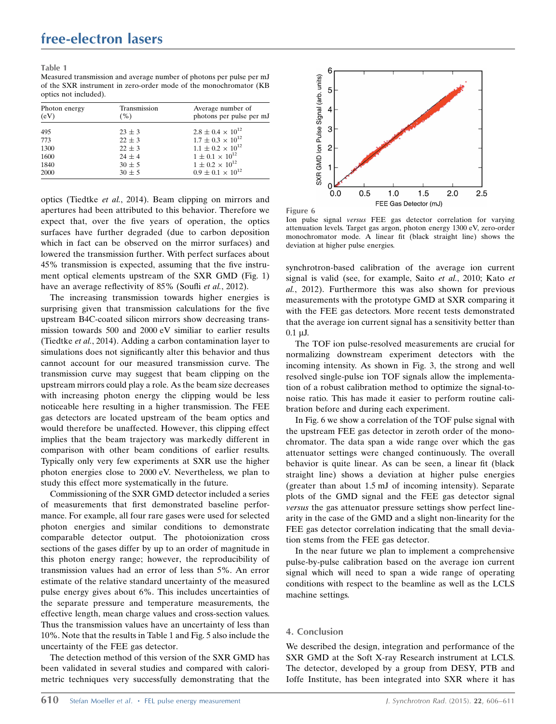Table 1

Measured transmission and average number of photons per pulse per mJ of the SXR instrument in zero-order mode of the monochromator (KB optics not included).

| Photon energy<br>(eV) | Transmission<br>( %) | Average number of<br>photons per pulse per mJ |
|-----------------------|----------------------|-----------------------------------------------|
| 495                   | $23 + 3$             | $2.8 \pm 0.4 \times 10^{12}$                  |
| 773                   | $22 \pm 3$           | $1.7 \pm 0.3 \times 10^{12}$                  |
| 1300                  | $22 + 3$             | $1.1 \pm 0.2 \times 10^{12}$                  |
| 1600                  | $24 \pm 4$           | $1 \pm 0.1 \times 10^{12}$                    |
| 1840                  | $30 \pm 5$           | $1 \pm 0.2 \times 10^{12}$                    |
| 2000                  | $30 \pm 5$           | $0.9 \pm 0.1 \times 10^{12}$                  |

optics (Tiedtke et al., 2014). Beam clipping on mirrors and apertures had been attributed to this behavior. Therefore we expect that, over the five years of operation, the optics surfaces have further degraded (due to carbon deposition which in fact can be observed on the mirror surfaces) and lowered the transmission further. With perfect surfaces about 45% transmission is expected, assuming that the five instrument optical elements upstream of the SXR GMD (Fig. 1) have an average reflectivity of 85% (Soufli et al., 2012).

The increasing transmission towards higher energies is surprising given that transmission calculations for the five upstream B4C-coated silicon mirrors show decreasing transmission towards 500 and 2000 eV similiar to earlier results (Tiedtke et al., 2014). Adding a carbon contamination layer to simulations does not significantly alter this behavior and thus cannot account for our measured transmission curve. The transmission curve may suggest that beam clipping on the upstream mirrors could play a role. As the beam size decreases with increasing photon energy the clipping would be less noticeable here resulting in a higher transmission. The FEE gas detectors are located upstream of the beam optics and would therefore be unaffected. However, this clipping effect implies that the beam trajectory was markedly different in comparison with other beam conditions of earlier results. Typically only very few experiments at SXR use the higher photon energies close to 2000 eV. Nevertheless, we plan to study this effect more systematically in the future.

Commissioning of the SXR GMD detector included a series of measurements that first demonstrated baseline performance. For example, all four rare gases were used for selected photon energies and similar conditions to demonstrate comparable detector output. The photoionization cross sections of the gases differ by up to an order of magnitude in this photon energy range; however, the reproducibility of transmission values had an error of less than 5%. An error estimate of the relative standard uncertainty of the measured pulse energy gives about 6%. This includes uncertainties of the separate pressure and temperature measurements, the effective length, mean charge values and cross-section values. Thus the transmission values have an uncertainty of less than 10%. Note that the results in Table 1 and Fig. 5 also include the uncertainty of the FEE gas detector.

The detection method of this version of the SXR GMD has been validated in several studies and compared with calorimetric techniques very successfully demonstrating that the



Figure 6

Ion pulse signal versus FEE gas detector correlation for varying attenuation levels. Target gas argon, photon energy 1300 eV, zero-order monochromator mode. A linear fit (black straight line) shows the deviation at higher pulse energies.

synchrotron-based calibration of the average ion current signal is valid (see, for example, Saito et al., 2010; Kato et al., 2012). Furthermore this was also shown for previous measurements with the prototype GMD at SXR comparing it with the FEE gas detectors. More recent tests demonstrated that the average ion current signal has a sensitivity better than  $0.1 \mu J$ .

The TOF ion pulse-resolved measurements are crucial for normalizing downstream experiment detectors with the incoming intensity. As shown in Fig. 3, the strong and well resolved single-pulse ion TOF signals allow the implementation of a robust calibration method to optimize the signal-tonoise ratio. This has made it easier to perform routine calibration before and during each experiment.

In Fig. 6 we show a correlation of the TOF pulse signal with the upstream FEE gas detector in zeroth order of the monochromator. The data span a wide range over which the gas attenuator settings were changed continuously. The overall behavior is quite linear. As can be seen, a linear fit (black straight line) shows a deviation at higher pulse energies (greater than about 1.5 mJ of incoming intensity). Separate plots of the GMD signal and the FEE gas detector signal versus the gas attenuator pressure settings show perfect linearity in the case of the GMD and a slight non-linearity for the FEE gas detector correlation indicating that the small deviation stems from the FEE gas detector.

In the near future we plan to implement a comprehensive pulse-by-pulse calibration based on the average ion current signal which will need to span a wide range of operating conditions with respect to the beamline as well as the LCLS machine settings.

## 4. Conclusion

We described the design, integration and performance of the SXR GMD at the Soft X-ray Research instrument at LCLS. The detector, developed by a group from DESY, PTB and Ioffe Institute, has been integrated into SXR where it has